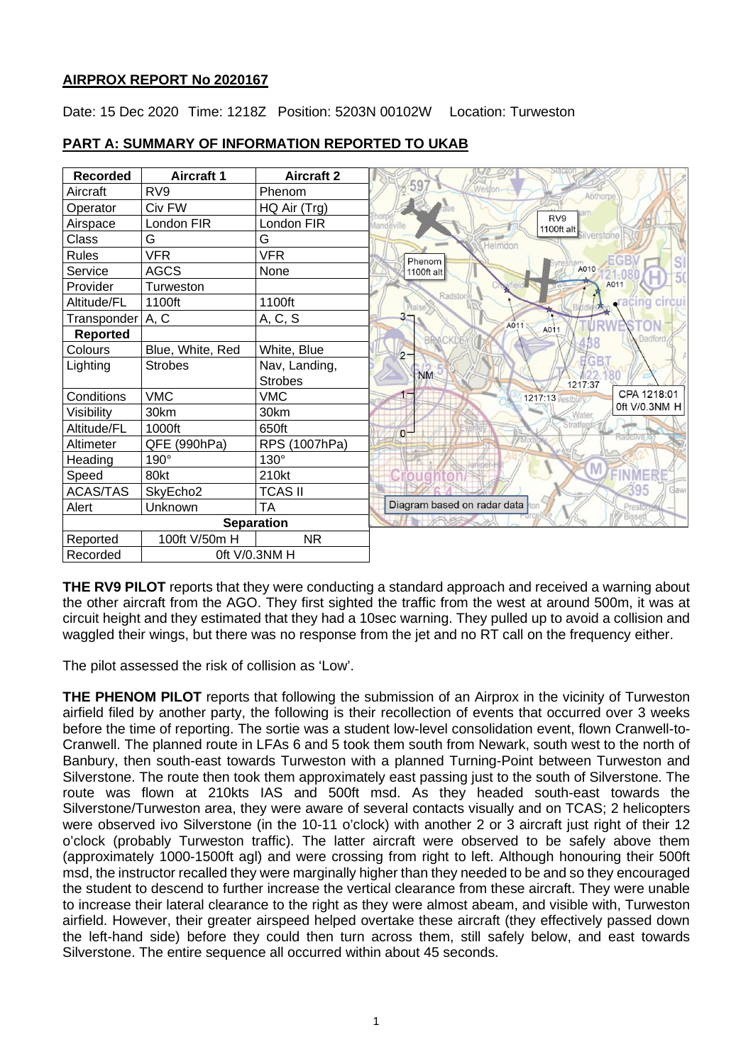## **AIRPROX REPORT No 2020167**

Date: 15 Dec 2020 Time: 1218Z Position: 5203N 00102W Location: Turweston



## **PART A: SUMMARY OF INFORMATION REPORTED TO UKAB**

**THE RV9 PILOT** reports that they were conducting a standard approach and received a warning about the other aircraft from the AGO. They first sighted the traffic from the west at around 500m, it was at circuit height and they estimated that they had a 10sec warning. They pulled up to avoid a collision and waggled their wings, but there was no response from the jet and no RT call on the frequency either.

The pilot assessed the risk of collision as 'Low'.

**THE PHENOM PILOT** reports that following the submission of an Airprox in the vicinity of Turweston airfield filed by another party, the following is their recollection of events that occurred over 3 weeks before the time of reporting. The sortie was a student low-level consolidation event, flown Cranwell-to-Cranwell. The planned route in LFAs 6 and 5 took them south from Newark, south west to the north of Banbury, then south-east towards Turweston with a planned Turning-Point between Turweston and Silverstone. The route then took them approximately east passing just to the south of Silverstone. The route was flown at 210kts IAS and 500ft msd. As they headed south-east towards the Silverstone/Turweston area, they were aware of several contacts visually and on TCAS; 2 helicopters were observed ivo Silverstone (in the 10-11 o'clock) with another 2 or 3 aircraft just right of their 12 o'clock (probably Turweston traffic). The latter aircraft were observed to be safely above them (approximately 1000-1500ft agl) and were crossing from right to left. Although honouring their 500ft msd, the instructor recalled they were marginally higher than they needed to be and so they encouraged the student to descend to further increase the vertical clearance from these aircraft. They were unable to increase their lateral clearance to the right as they were almost abeam, and visible with, Turweston airfield. However, their greater airspeed helped overtake these aircraft (they effectively passed down the left-hand side) before they could then turn across them, still safely below, and east towards Silverstone. The entire sequence all occurred within about 45 seconds.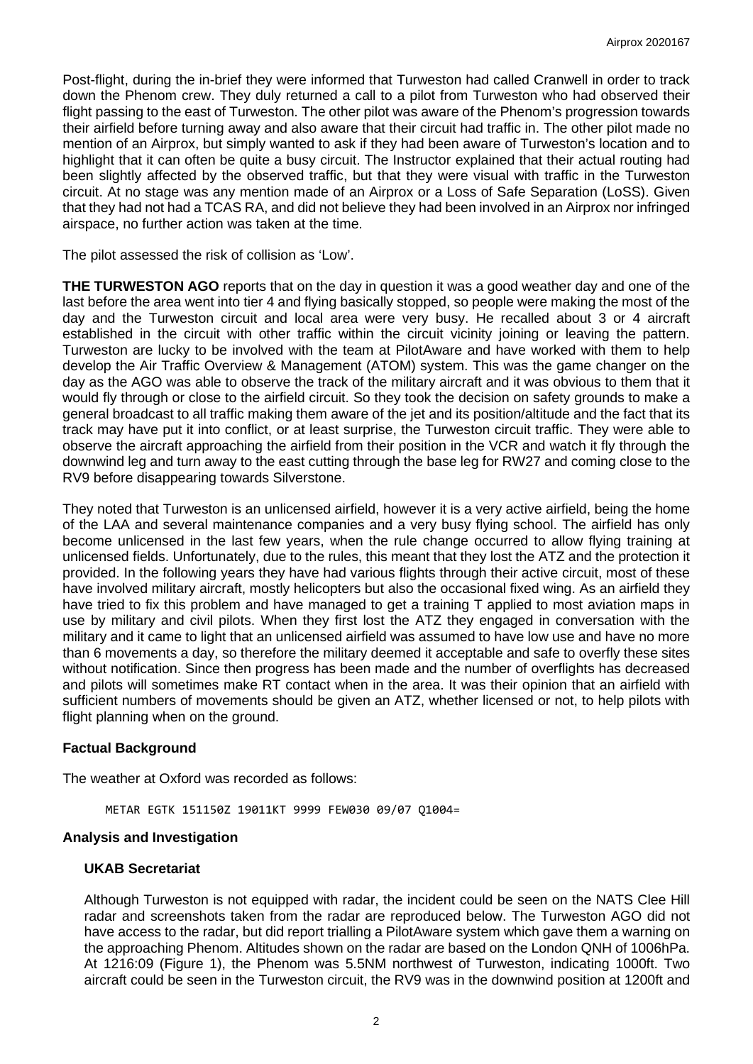Post-flight, during the in-brief they were informed that Turweston had called Cranwell in order to track down the Phenom crew. They duly returned a call to a pilot from Turweston who had observed their flight passing to the east of Turweston. The other pilot was aware of the Phenom's progression towards their airfield before turning away and also aware that their circuit had traffic in. The other pilot made no mention of an Airprox, but simply wanted to ask if they had been aware of Turweston's location and to highlight that it can often be quite a busy circuit. The Instructor explained that their actual routing had been slightly affected by the observed traffic, but that they were visual with traffic in the Turweston circuit. At no stage was any mention made of an Airprox or a Loss of Safe Separation (LoSS). Given that they had not had a TCAS RA, and did not believe they had been involved in an Airprox nor infringed airspace, no further action was taken at the time.

The pilot assessed the risk of collision as 'Low'.

**THE TURWESTON AGO** reports that on the day in question it was a good weather day and one of the last before the area went into tier 4 and flying basically stopped, so people were making the most of the day and the Turweston circuit and local area were very busy. He recalled about 3 or 4 aircraft established in the circuit with other traffic within the circuit vicinity joining or leaving the pattern. Turweston are lucky to be involved with the team at PilotAware and have worked with them to help develop the Air Traffic Overview & Management (ATOM) system. This was the game changer on the day as the AGO was able to observe the track of the military aircraft and it was obvious to them that it would fly through or close to the airfield circuit. So they took the decision on safety grounds to make a general broadcast to all traffic making them aware of the jet and its position/altitude and the fact that its track may have put it into conflict, or at least surprise, the Turweston circuit traffic. They were able to observe the aircraft approaching the airfield from their position in the VCR and watch it fly through the downwind leg and turn away to the east cutting through the base leg for RW27 and coming close to the RV9 before disappearing towards Silverstone.

They noted that Turweston is an unlicensed airfield, however it is a very active airfield, being the home of the LAA and several maintenance companies and a very busy flying school. The airfield has only become unlicensed in the last few years, when the rule change occurred to allow flying training at unlicensed fields. Unfortunately, due to the rules, this meant that they lost the ATZ and the protection it provided. In the following years they have had various flights through their active circuit, most of these have involved military aircraft, mostly helicopters but also the occasional fixed wing. As an airfield they have tried to fix this problem and have managed to get a training T applied to most aviation maps in use by military and civil pilots. When they first lost the ATZ they engaged in conversation with the military and it came to light that an unlicensed airfield was assumed to have low use and have no more than 6 movements a day, so therefore the military deemed it acceptable and safe to overfly these sites without notification. Since then progress has been made and the number of overflights has decreased and pilots will sometimes make RT contact when in the area. It was their opinion that an airfield with sufficient numbers of movements should be given an ATZ, whether licensed or not, to help pilots with flight planning when on the ground.

### **Factual Background**

The weather at Oxford was recorded as follows:

METAR EGTK 151150Z 19011KT 9999 FEW030 09/07 Q1004=

### **Analysis and Investigation**

### **UKAB Secretariat**

Although Turweston is not equipped with radar, the incident could be seen on the NATS Clee Hill radar and screenshots taken from the radar are reproduced below. The Turweston AGO did not have access to the radar, but did report trialling a PilotAware system which gave them a warning on the approaching Phenom. Altitudes shown on the radar are based on the London QNH of 1006hPa. At 1216:09 (Figure 1), the Phenom was 5.5NM northwest of Turweston, indicating 1000ft. Two aircraft could be seen in the Turweston circuit, the RV9 was in the downwind position at 1200ft and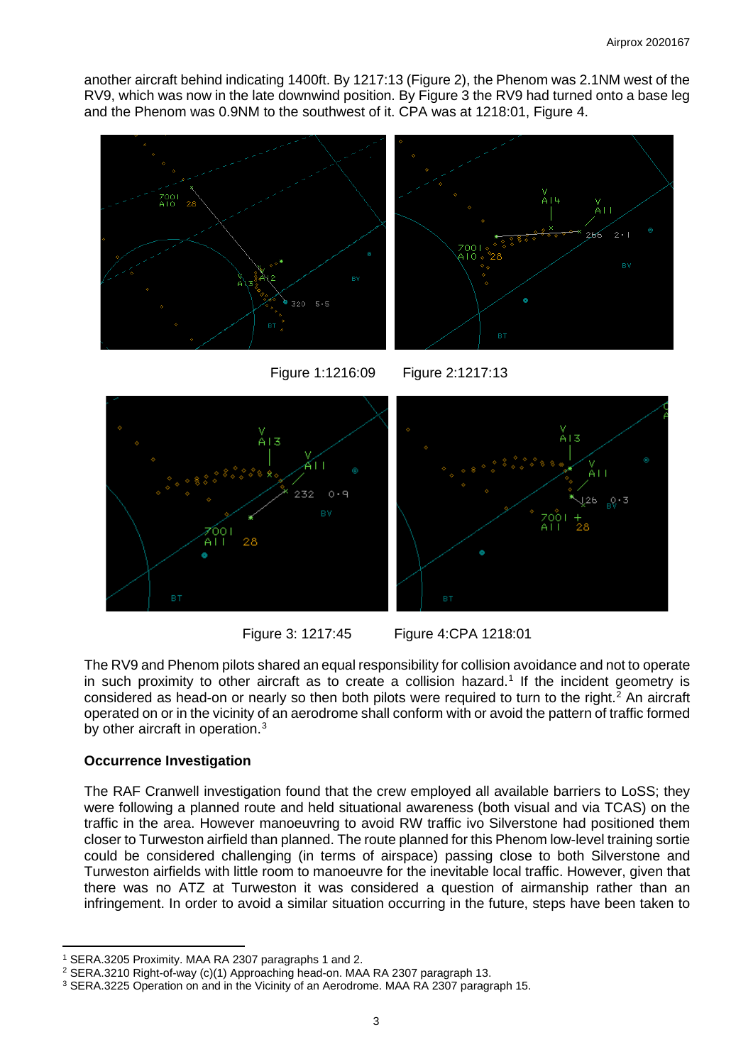another aircraft behind indicating 1400ft. By 1217:13 (Figure 2), the Phenom was 2.1NM west of the RV9, which was now in the late downwind position. By Figure 3 the RV9 had turned onto a base leg and the Phenom was 0.9NM to the southwest of it. CPA was at 1218:01, Figure 4.



Figure 1:1216:09 Figure 2:1217:13



Figure 3: 1217:45 Figure 4:CPA 1218:01

The RV9 and Phenom pilots shared an equal responsibility for collision avoidance and not to operate in such proximity to other aircraft as to create a collision hazard.<sup>[1](#page-2-0)</sup> If the incident geometry is considered as head-on or nearly so then both pilots were required to turn to the right. [2](#page-2-1) An aircraft operated on or in the vicinity of an aerodrome shall conform with or avoid the pattern of traffic formed by other aircraft in operation.<sup>[3](#page-2-2)</sup>

# **Occurrence Investigation**

The RAF Cranwell investigation found that the crew employed all available barriers to LoSS; they were following a planned route and held situational awareness (both visual and via TCAS) on the traffic in the area. However manoeuvring to avoid RW traffic ivo Silverstone had positioned them closer to Turweston airfield than planned. The route planned for this Phenom low-level training sortie could be considered challenging (in terms of airspace) passing close to both Silverstone and Turweston airfields with little room to manoeuvre for the inevitable local traffic. However, given that there was no ATZ at Turweston it was considered a question of airmanship rather than an infringement. In order to avoid a similar situation occurring in the future, steps have been taken to

<span id="page-2-0"></span><sup>1</sup> SERA.3205 Proximity. MAA RA 2307 paragraphs 1 and 2.

<span id="page-2-1"></span><sup>2</sup> SERA.3210 Right-of-way (c)(1) Approaching head-on. MAA RA 2307 paragraph 13.

<span id="page-2-2"></span><sup>3</sup> SERA.3225 Operation on and in the Vicinity of an Aerodrome. MAA RA 2307 paragraph 15.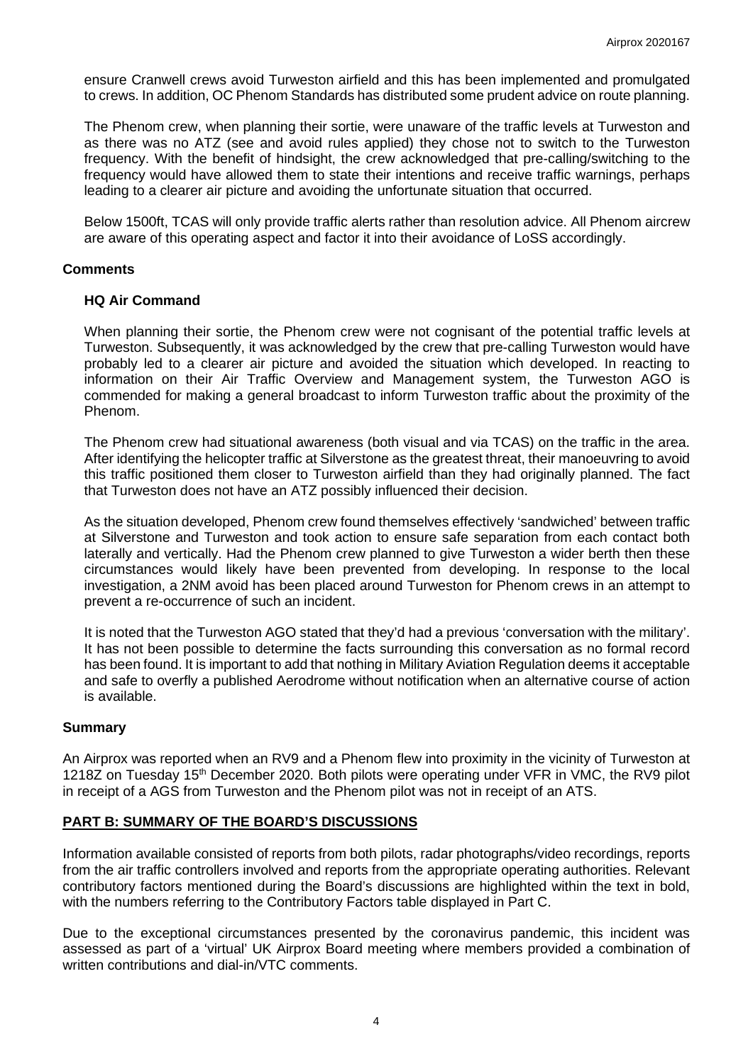ensure Cranwell crews avoid Turweston airfield and this has been implemented and promulgated to crews. In addition, OC Phenom Standards has distributed some prudent advice on route planning.

The Phenom crew, when planning their sortie, were unaware of the traffic levels at Turweston and as there was no ATZ (see and avoid rules applied) they chose not to switch to the Turweston frequency. With the benefit of hindsight, the crew acknowledged that pre-calling/switching to the frequency would have allowed them to state their intentions and receive traffic warnings, perhaps leading to a clearer air picture and avoiding the unfortunate situation that occurred.

Below 1500ft, TCAS will only provide traffic alerts rather than resolution advice. All Phenom aircrew are aware of this operating aspect and factor it into their avoidance of LoSS accordingly.

### **Comments**

### **HQ Air Command**

When planning their sortie, the Phenom crew were not cognisant of the potential traffic levels at Turweston. Subsequently, it was acknowledged by the crew that pre-calling Turweston would have probably led to a clearer air picture and avoided the situation which developed. In reacting to information on their Air Traffic Overview and Management system, the Turweston AGO is commended for making a general broadcast to inform Turweston traffic about the proximity of the Phenom.

The Phenom crew had situational awareness (both visual and via TCAS) on the traffic in the area. After identifying the helicopter traffic at Silverstone as the greatest threat, their manoeuvring to avoid this traffic positioned them closer to Turweston airfield than they had originally planned. The fact that Turweston does not have an ATZ possibly influenced their decision.

As the situation developed, Phenom crew found themselves effectively 'sandwiched' between traffic at Silverstone and Turweston and took action to ensure safe separation from each contact both laterally and vertically. Had the Phenom crew planned to give Turweston a wider berth then these circumstances would likely have been prevented from developing. In response to the local investigation, a 2NM avoid has been placed around Turweston for Phenom crews in an attempt to prevent a re-occurrence of such an incident.

It is noted that the Turweston AGO stated that they'd had a previous 'conversation with the military'. It has not been possible to determine the facts surrounding this conversation as no formal record has been found. It is important to add that nothing in Military Aviation Regulation deems it acceptable and safe to overfly a published Aerodrome without notification when an alternative course of action is available.

#### **Summary**

An Airprox was reported when an RV9 and a Phenom flew into proximity in the vicinity of Turweston at 1218Z on Tuesday 15<sup>th</sup> December 2020. Both pilots were operating under VFR in VMC, the RV9 pilot in receipt of a AGS from Turweston and the Phenom pilot was not in receipt of an ATS.

### **PART B: SUMMARY OF THE BOARD'S DISCUSSIONS**

Information available consisted of reports from both pilots, radar photographs/video recordings, reports from the air traffic controllers involved and reports from the appropriate operating authorities. Relevant contributory factors mentioned during the Board's discussions are highlighted within the text in bold, with the numbers referring to the Contributory Factors table displayed in Part C.

Due to the exceptional circumstances presented by the coronavirus pandemic, this incident was assessed as part of a 'virtual' UK Airprox Board meeting where members provided a combination of written contributions and dial-in/VTC comments.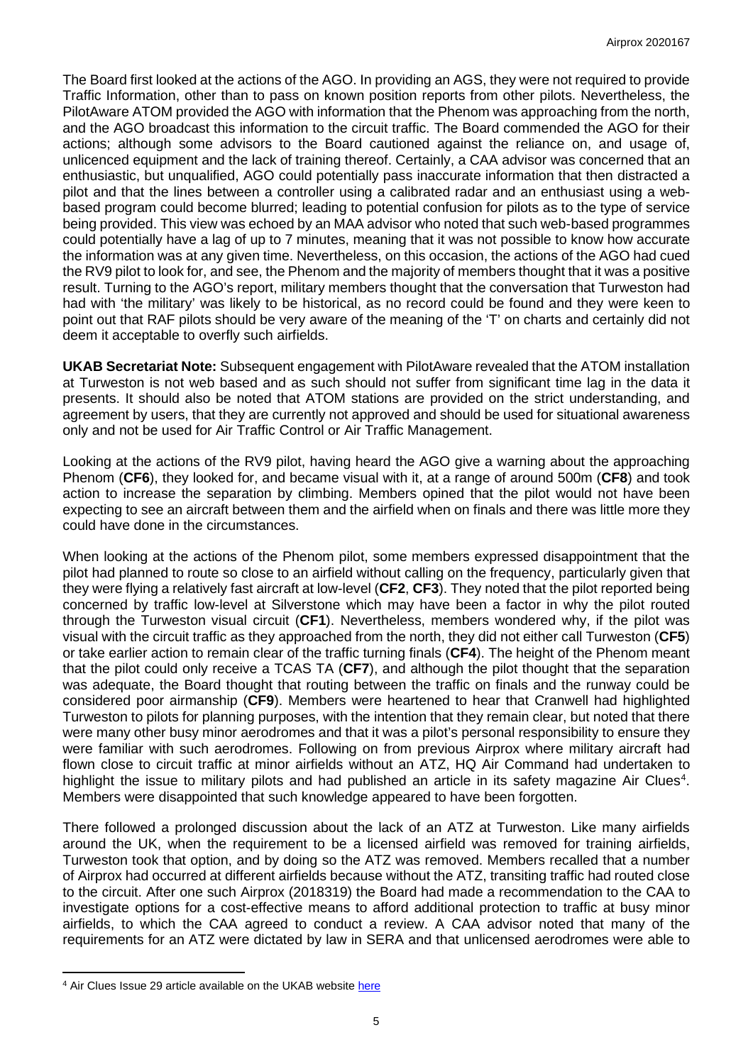The Board first looked at the actions of the AGO. In providing an AGS, they were not required to provide Traffic Information, other than to pass on known position reports from other pilots. Nevertheless, the PilotAware ATOM provided the AGO with information that the Phenom was approaching from the north, and the AGO broadcast this information to the circuit traffic. The Board commended the AGO for their actions; although some advisors to the Board cautioned against the reliance on, and usage of, unlicenced equipment and the lack of training thereof. Certainly, a CAA advisor was concerned that an enthusiastic, but unqualified, AGO could potentially pass inaccurate information that then distracted a pilot and that the lines between a controller using a calibrated radar and an enthusiast using a webbased program could become blurred; leading to potential confusion for pilots as to the type of service being provided. This view was echoed by an MAA advisor who noted that such web-based programmes could potentially have a lag of up to 7 minutes, meaning that it was not possible to know how accurate the information was at any given time. Nevertheless, on this occasion, the actions of the AGO had cued the RV9 pilot to look for, and see, the Phenom and the majority of members thought that it was a positive result. Turning to the AGO's report, military members thought that the conversation that Turweston had had with 'the military' was likely to be historical, as no record could be found and they were keen to point out that RAF pilots should be very aware of the meaning of the 'T' on charts and certainly did not deem it acceptable to overfly such airfields.

**UKAB Secretariat Note:** Subsequent engagement with PilotAware revealed that the ATOM installation at Turweston is not web based and as such should not suffer from significant time lag in the data it presents. It should also be noted that ATOM stations are provided on the strict understanding, and agreement by users, that they are currently not approved and should be used for situational awareness only and not be used for Air Traffic Control or Air Traffic Management.

Looking at the actions of the RV9 pilot, having heard the AGO give a warning about the approaching Phenom (**CF6**), they looked for, and became visual with it, at a range of around 500m (**CF8**) and took action to increase the separation by climbing. Members opined that the pilot would not have been expecting to see an aircraft between them and the airfield when on finals and there was little more they could have done in the circumstances.

When looking at the actions of the Phenom pilot, some members expressed disappointment that the pilot had planned to route so close to an airfield without calling on the frequency, particularly given that they were flying a relatively fast aircraft at low-level (**CF2**, **CF3**). They noted that the pilot reported being concerned by traffic low-level at Silverstone which may have been a factor in why the pilot routed through the Turweston visual circuit (**CF1**). Nevertheless, members wondered why, if the pilot was visual with the circuit traffic as they approached from the north, they did not either call Turweston (**CF5**) or take earlier action to remain clear of the traffic turning finals (**CF4**). The height of the Phenom meant that the pilot could only receive a TCAS TA (**CF7**), and although the pilot thought that the separation was adequate, the Board thought that routing between the traffic on finals and the runway could be considered poor airmanship (**CF9**). Members were heartened to hear that Cranwell had highlighted Turweston to pilots for planning purposes, with the intention that they remain clear, but noted that there were many other busy minor aerodromes and that it was a pilot's personal responsibility to ensure they were familiar with such aerodromes. Following on from previous Airprox where military aircraft had flown close to circuit traffic at minor airfields without an ATZ, HQ Air Command had undertaken to highlight the issue to military pilots and had published an article in its safety magazine Air Clues<sup>[4](#page-4-0)</sup>. Members were disappointed that such knowledge appeared to have been forgotten.

There followed a prolonged discussion about the lack of an ATZ at Turweston. Like many airfields around the UK, when the requirement to be a licensed airfield was removed for training airfields, Turweston took that option, and by doing so the ATZ was removed. Members recalled that a number of Airprox had occurred at different airfields because without the ATZ, transiting traffic had routed close to the circuit. After one such Airprox (2018319) the Board had made a recommendation to the CAA to investigate options for a cost-effective means to afford additional protection to traffic at busy minor airfields, to which the CAA agreed to conduct a review. A CAA advisor noted that many of the requirements for an ATZ were dictated by law in SERA and that unlicensed aerodromes were able to

<span id="page-4-0"></span><sup>&</sup>lt;sup>4</sup> Air Clues Issue 29 article available on the UKAB website [here](https://www.airproxboard.org.uk/uploadedFiles/Content/Standard_content/Topical_Issues_and_Themes/AirClues%20Issue%2029.pdf)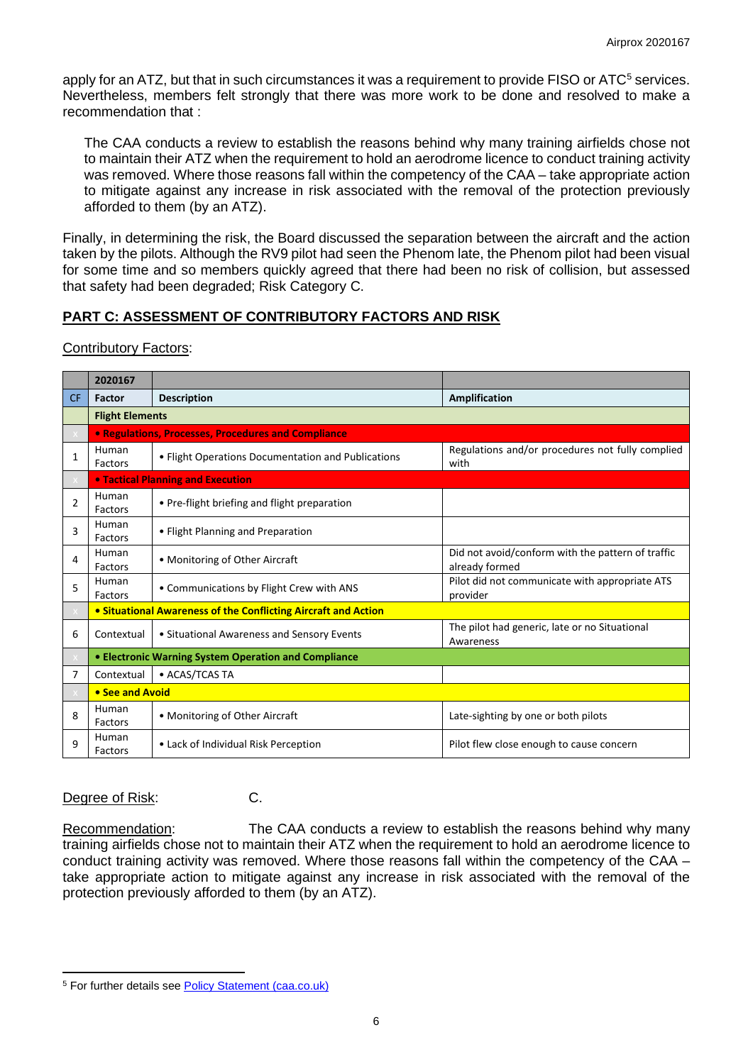apply for an ATZ, but that in such circumstances it was a requirement to provide FISO or ATC<sup>[5](#page-5-0)</sup> services. Nevertheless, members felt strongly that there was more work to be done and resolved to make a recommendation that :

The CAA conducts a review to establish the reasons behind why many training airfields chose not to maintain their ATZ when the requirement to hold an aerodrome licence to conduct training activity was removed. Where those reasons fall within the competency of the CAA – take appropriate action to mitigate against any increase in risk associated with the removal of the protection previously afforded to them (by an ATZ).

Finally, in determining the risk, the Board discussed the separation between the aircraft and the action taken by the pilots. Although the RV9 pilot had seen the Phenom late, the Phenom pilot had been visual for some time and so members quickly agreed that there had been no risk of collision, but assessed that safety had been degraded; Risk Category C.

# **PART C: ASSESSMENT OF CONTRIBUTORY FACTORS AND RISK**

**Contributory Factors:** 

|                | 2020167                                  |                                                                |                                                                     |  |
|----------------|------------------------------------------|----------------------------------------------------------------|---------------------------------------------------------------------|--|
| <b>CF</b>      | Factor                                   | <b>Description</b>                                             | <b>Amplification</b>                                                |  |
|                | <b>Flight Elements</b>                   |                                                                |                                                                     |  |
|                |                                          | • Regulations, Processes, Procedures and Compliance            |                                                                     |  |
| $\mathbf{1}$   | Human<br>Factors                         | • Flight Operations Documentation and Publications             | Regulations and/or procedures not fully complied<br>with            |  |
|                | <b>• Tactical Planning and Execution</b> |                                                                |                                                                     |  |
| $\overline{2}$ | Human<br>Factors                         | • Pre-flight briefing and flight preparation                   |                                                                     |  |
| 3              | Human<br>Factors                         | • Flight Planning and Preparation                              |                                                                     |  |
| 4              | Human<br>Factors                         | • Monitoring of Other Aircraft                                 | Did not avoid/conform with the pattern of traffic<br>already formed |  |
| 5              | Human<br>Factors                         | • Communications by Flight Crew with ANS                       | Pilot did not communicate with appropriate ATS<br>provider          |  |
|                |                                          | • Situational Awareness of the Conflicting Aircraft and Action |                                                                     |  |
| 6              | Contextual                               | • Situational Awareness and Sensory Events                     | The pilot had generic, late or no Situational<br>Awareness          |  |
|                |                                          | • Electronic Warning System Operation and Compliance           |                                                                     |  |
| 7              | Contextual                               | • ACAS/TCAS TA                                                 |                                                                     |  |
|                |                                          | • See and Avoid                                                |                                                                     |  |
| 8              | Human<br>Factors                         | • Monitoring of Other Aircraft                                 | Late-sighting by one or both pilots                                 |  |
| 9              | Human<br>Factors                         | • Lack of Individual Risk Perception                           | Pilot flew close enough to cause concern                            |  |

### Degree of Risk: C.

Recommendation: The CAA conducts a review to establish the reasons behind why many training airfields chose not to maintain their ATZ when the requirement to hold an aerodrome licence to conduct training activity was removed. Where those reasons fall within the competency of the CAA – take appropriate action to mitigate against any increase in risk associated with the removal of the protection previously afforded to them (by an ATZ).

<span id="page-5-0"></span><sup>5</sup> For further details se[e Policy Statement \(caa.co.uk\)](http://publicapps.caa.co.uk/docs/33/PolicyStatementEstablishmentAndDimensionsOfATZs.pdf)